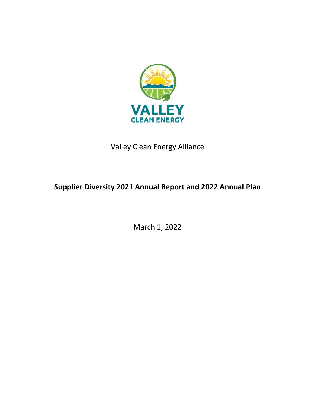

Valley Clean Energy Alliance

# **Supplier Diversity 2021 Annual Report and 2022 Annual Plan**

March 1, 2022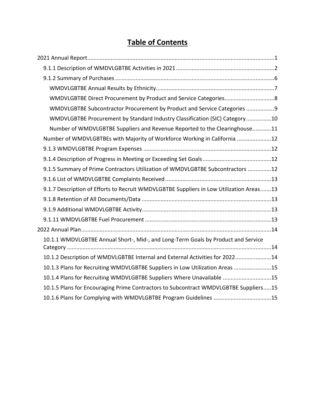# **Table of Contents**

| WMDVLGBTBE Direct Procurement by Product and Service Categories8                        |
|-----------------------------------------------------------------------------------------|
| WMDVLGBTBE Subcontractor Procurement by Product and Service Categories 9                |
| WMDVLGBTBE Procurement by Standard Industry Classification (SIC) Category10             |
| Number of WMDVLGBTBE Suppliers and Revenue Reported to the Clearinghouse11              |
| Number of WMDVLGBTBEs with Majority of Workforce Working in California 12               |
|                                                                                         |
|                                                                                         |
| 9.1.5 Summary of Prime Contractors Utilization of WMDVLGBTBE Subcontractors 12          |
|                                                                                         |
| 9.1.7 Description of Efforts to Recruit WMDVLGBTBE Suppliers in Low Utilization Areas13 |
|                                                                                         |
|                                                                                         |
|                                                                                         |
|                                                                                         |
| 10.1.1 WMDVLGBTBE Annual Short-, Mid-, and Long-Term Goals by Product and Service       |
| 10.1.2 Description of WMDVLGBTBE Internal and External Activities for 202214            |
| 10.1.3 Plans for Recruiting WMDVLGBTBE Suppliers in Low Utilization Areas 15            |
| 10.1.4 Plans for Recruiting WMDVLGBTBE Suppliers Where Unavailable 15                   |
| 10.1.5 Plans for Encouraging Prime Contractors to Subcontract WMDVLGBTBE Suppliers15    |
| 10.1.6 Plans for Complying with WMDVLGBTBE Program Guidelines 15                        |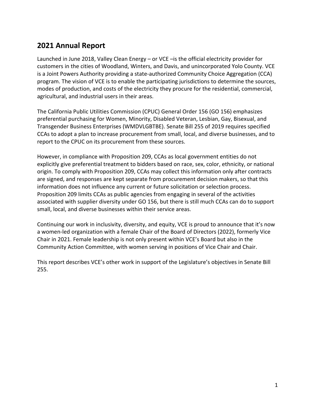# **2021 Annual Report**

Launched in June 2018, Valley Clean Energy – or VCE –is the official electricity provider for customers in the cities of Woodland, Winters, and Davis, and unincorporated Yolo County. VCE is a Joint Powers Authority providing a state-authorized Community Choice Aggregation (CCA) program. The vision of VCE is to enable the participating jurisdictions to determine the sources, modes of production, and costs of the electricity they procure for the residential, commercial, agricultural, and industrial users in their areas.

The California Public Utilities Commission (CPUC) General Order 156 (GO 156) emphasizes preferential purchasing for Women, Minority, Disabled Veteran, Lesbian, Gay, Bisexual, and Transgender Business Enterprises (WMDVLGBTBE). Senate Bill 255 of 2019 requires specified CCAs to adopt a plan to increase procurement from small, local, and diverse businesses, and to report to the CPUC on its procurement from these sources.

However, in compliance with Proposition 209, CCAs as local government entities do not explicitly give preferential treatment to bidders based on race, sex, color, ethnicity, or national origin. To comply with Proposition 209, CCAs may collect this information only after contracts are signed, and responses are kept separate from procurement decision makers, so that this information does not influence any current or future solicitation or selection process. Proposition 209 limits CCAs as public agencies from engaging in several of the activities associated with supplier diversity under GO 156, but there is still much CCAs can do to support small, local, and diverse businesses within their service areas.

Continuing our work in inclusivity, diversity, and equity, VCE is proud to announce that it's now a women-led organization with a female Chair of the Board of Directors (2022), formerly Vice Chair in 2021. Female leadership is not only present within VCE's Board but also in the Community Action Committee, with women serving in positions of Vice Chair and Chair.

This report describes VCE's other work in support of the Legislature's objectives in Senate Bill 255.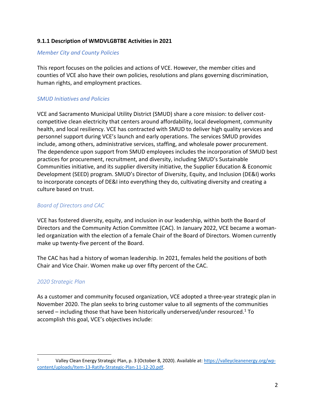### **9.1.1 Description of WMDVLGBTBE Activities in 2021**

#### *Member City and County Policies*

This report focuses on the policies and actions of VCE. However, the member cities and counties of VCE also have their own policies, resolutions and plans governing discrimination, human rights, and employment practices.

## *SMUD Initiatives and Policies*

VCE and Sacramento Municipal Utility District (SMUD) share a core mission: to deliver costcompetitive clean electricity that centers around affordability, local development, community health, and local resiliency. VCE has contracted with SMUD to deliver high quality services and personnel support during VCE's launch and early operations. The services SMUD provides include, among others, administrative services, staffing, and wholesale power procurement. The dependence upon support from SMUD employees includes the incorporation of SMUD best practices for procurement, recruitment, and diversity, including SMUD's Sustainable Communities initiative, and its supplier diversity initiative, the Supplier Education & Economic Development (SEED) program. SMUD's Director of Diversity, Equity, and Inclusion (DE&I) works to incorporate concepts of DE&I into everything they do, cultivating diversity and creating a culture based on trust.

### *Board of Directors and CAC*

VCE has fostered diversity, equity, and inclusion in our leadership, within both the Board of Directors and the Community Action Committee (CAC). In January 2022, VCE became a womanled organization with the election of a female Chair of the Board of Directors. Women currently make up twenty-five percent of the Board.

The CAC has had a history of woman leadership. In 2021, females held the positions of both Chair and Vice Chair. Women make up over fifty percent of the CAC.

### *2020 Strategic Plan*

As a customer and community focused organization, VCE adopted a three-year strategic plan in November 2020. The plan seeks to bring customer value to all segments of the communities served – including those that have been historically underserved/under resourced.<sup>1</sup> To accomplish this goal, VCE's objectives include:

<sup>1</sup> Valley Clean Energy Strategic Plan, p. 3 (October 8, 2020). Available at: https://valleycleanenergy.org/wpcontent/uploads/Item-13-Ratify-Strategic-Plan-11-12-20.pdf.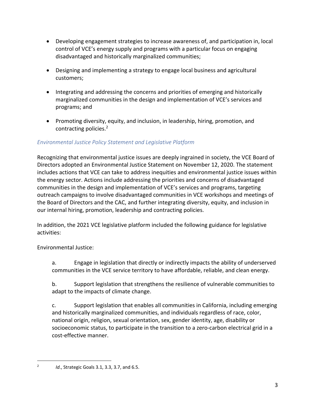- Developing engagement strategies to increase awareness of, and participation in, local control of VCE's energy supply and programs with a particular focus on engaging disadvantaged and historically marginalized communities;
- Designing and implementing a strategy to engage local business and agricultural customers;
- Integrating and addressing the concerns and priorities of emerging and historically marginalized communities in the design and implementation of VCE's services and programs; and
- Promoting diversity, equity, and inclusion, in leadership, hiring, promotion, and contracting policies.<sup>2</sup>

## *Environmental Justice Policy Statement and Legislative Platform*

Recognizing that environmental justice issues are deeply ingrained in society, the VCE Board of Directors adopted an Environmental Justice Statement on November 12, 2020. The statement includes actions that VCE can take to address inequities and environmental justice issues within the energy sector. Actions include addressing the priorities and concerns of disadvantaged communities in the design and implementation of VCE's services and programs, targeting outreach campaigns to involve disadvantaged communities in VCE workshops and meetings of the Board of Directors and the CAC, and further integrating diversity, equity, and inclusion in our internal hiring, promotion, leadership and contracting policies.

In addition, the 2021 VCE legislative platform included the following guidance for legislative activities:

Environmental Justice:

a. Engage in legislation that directly or indirectly impacts the ability of underserved communities in the VCE service territory to have affordable, reliable, and clean energy.

b. Support legislation that strengthens the resilience of vulnerable communities to adapt to the impacts of climate change.

c. Support legislation that enables all communities in California, including emerging and historically marginalized communities, and individuals regardless of race, color, national origin, religion, sexual orientation, sex, gender identity, age, disability or socioeconomic status, to participate in the transition to a zero-carbon electrical grid in a cost-effective manner.

<sup>2</sup> *Id*., Strategic Goals 3.1, 3.3, 3.7, and 6.5.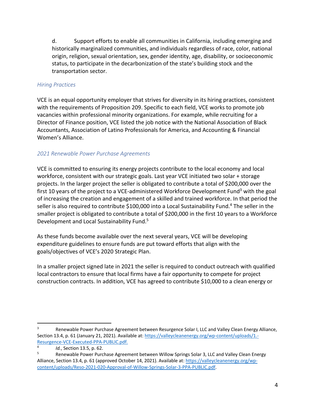d. Support efforts to enable all communities in California, including emerging and historically marginalized communities, and individuals regardless of race, color, national origin, religion, sexual orientation, sex, gender identity, age, disability, or socioeconomic status, to participate in the decarbonization of the state's building stock and the transportation sector.

#### *Hiring Practices*

VCE is an equal opportunity employer that strives for diversity in its hiring practices, consistent with the requirements of Proposition 209. Specific to each field, VCE works to promote job vacancies within professional minority organizations. For example, while recruiting for a Director of Finance position, VCE listed the job notice with the National Association of Black Accountants, Association of Latino Professionals for America, and Accounting & Financial Women's Alliance.

### *2021 Renewable Power Purchase Agreements*

VCE is committed to ensuring its energy projects contribute to the local economy and local workforce, consistent with our strategic goals. Last year VCE initiated two solar + storage projects. In the larger project the seller is obligated to contribute a total of \$200,000 over the first 10 years of the project to a VCE-administered Workforce Development Fund<sup>3</sup> with the goal of increasing the creation and engagement of a skilled and trained workforce. In that period the seller is also required to contribute \$100,000 into a Local Sustainability Fund.<sup>4</sup> The seller in the smaller project is obligated to contribute a total of \$200,000 in the first 10 years to a Workforce Development and Local Sustainability Fund.5

As these funds become available over the next several years, VCE will be developing expenditure guidelines to ensure funds are put toward efforts that align with the goals/objectives of VCE's 2020 Strategic Plan.

In a smaller project signed late in 2021 the seller is required to conduct outreach with qualified local contractors to ensure that local firms have a fair opportunity to compete for project construction contracts. In addition, VCE has agreed to contribute \$10,000 to a clean energy or

<sup>3</sup> Renewable Power Purchase Agreement between Resurgence Solar I, LLC and Valley Clean Energy Alliance, Section 13.4, p. 61 (January 21, 2021). Available at: https://valleycleanenergy.org/wp-content/uploads/1.-Resurgence-VCE-Executed-PPA-PUBLIC.pdf.

 $1d.$ , Section 13.5, p. 62.<br>Bonowable Bower Burck

<sup>5</sup> Renewable Power Purchase Agreement between Willow Springs Solar 3, LLC and Valley Clean Energy Alliance, Section 13.4, p. 61 (approved October 14, 2021). Available at: https://valleycleanenergy.org/wpcontent/uploads/Reso-2021-020-Approval-of-Willow-Springs-Solar-3-PPA-PUBLIC.pdf.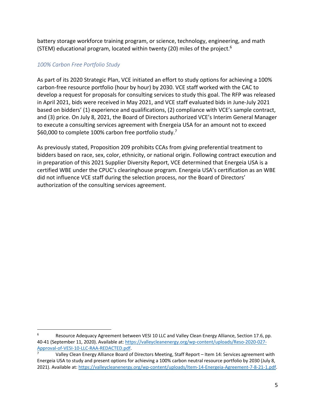battery storage workforce training program, or science, technology, engineering, and math (STEM) educational program, located within twenty (20) miles of the project.6

#### *100% Carbon Free Portfolio Study*

As part of its 2020 Strategic Plan, VCE initiated an effort to study options for achieving a 100% carbon-free resource portfolio (hour by hour) by 2030. VCE staff worked with the CAC to develop a request for proposals for consulting services to study this goal. The RFP was released in April 2021, bids were received in May 2021, and VCE staff evaluated bids in June-July 2021 based on bidders' (1) experience and qualifications, (2) compliance with VCE's sample contract, and (3) price. On July 8, 2021, the Board of Directors authorized VCE's Interim General Manager to execute a consulting services agreement with Energeia USA for an amount not to exceed \$60,000 to complete 100% carbon free portfolio study.7

As previously stated, Proposition 209 prohibits CCAs from giving preferential treatment to bidders based on race, sex, color, ethnicity, or national origin. Following contract execution and in preparation of this 2021 Supplier Diversity Report, VCE determined that Energeia USA is a certified WBE under the CPUC's clearinghouse program. Energeia USA's certification as an WBE did not influence VCE staff during the selection process, nor the Board of Directors' authorization of the consulting services agreement.

<sup>6</sup> Resource Adequacy Agreement between VESI 10 LLC and Valley Clean Energy Alliance, Section 17.6, pp. 40-41 (September 11, 2020). Available at: https://valleycleanenergy.org/wp-content/uploads/Reso-2020-027- Approval-of-VESI-10-LLC-RAA-REDACTED.pdf.

Valley Clean Energy Alliance Board of Directors Meeting, Staff Report - Item 14: Services agreement with Energeia USA to study and present options for achieving a 100% carbon neutral resource portfolio by 2030 (July 8, 2021). Available at: https://valleycleanenergy.org/wp-content/uploads/Item-14-Energeia-Agreement-7-8-21-1.pdf.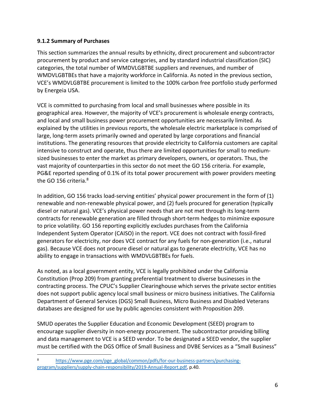## **9.1.2 Summary of Purchases**

This section summarizes the annual results by ethnicity, direct procurement and subcontractor procurement by product and service categories, and by standard industrial classification (SIC) categories, the total number of WMDVLGBTBE suppliers and revenues, and number of WMDVLGBTBEs that have a majority workforce in California. As noted in the previous section, VCE's WMDVLGBTBE procurement is limited to the 100% carbon free portfolio study performed by Energeia USA.

VCE is committed to purchasing from local and small businesses where possible in its geographical area. However, the majority of VCE's procurement is wholesale energy contracts, and local and small business power procurement opportunities are necessarily limited. As explained by the utilities in previous reports, the wholesale electric marketplace is comprised of large, long-term assets primarily owned and operated by large corporations and financial institutions. The generating resources that provide electricity to California customers are capital intensive to construct and operate, thus there are limited opportunities for small to mediumsized businesses to enter the market as primary developers, owners, or operators. Thus, the vast majority of counterparties in this sector do not meet the GO 156 criteria. For example, PG&E reported spending of 0.1% of its total power procurement with power providers meeting the GO 156 criteria.<sup>8</sup>

In addition, GO 156 tracks load-serving entities' physical power procurement in the form of (1) renewable and non-renewable physical power, and (2) fuels procured for generation (typically diesel or natural gas). VCE's physical power needs that are not met through its long-term contracts for renewable generation are filled through short-term hedges to minimize exposure to price volatility. GO 156 reporting explicitly excludes purchases from the California Independent System Operator (CAISO) in the report. VCE does not contract with fossil-fired generators for electricity, nor does VCE contract for any fuels for non-generation (i.e., natural gas). Because VCE does not procure diesel or natural gas to generate electricity, VCE has no ability to engage in transactions with WMDVLGBTBEs for fuels.

As noted, as a local government entity, VCE is legally prohibited under the California Constitution (Prop 209) from granting preferential treatment to diverse businesses in the contracting process. The CPUC's Supplier Clearinghouse which serves the private sector entities does not support public agency local small business or micro business initiatives. The California Department of General Services (DGS) Small Business, Micro Business and Disabled Veterans databases are designed for use by public agencies consistent with Proposition 209.

SMUD operates the Supplier Education and Economic Development (SEED) program to encourage supplier diversity in non-energy procurement. The subcontractor providing billing and data management to VCE is a SEED vendor. To be designated a SEED vendor, the supplier must be certified with the DGS Office of Small Business and DVBE Services as a "Small Business"

<sup>8</sup> https://www.pge.com/pge\_global/common/pdfs/for-our-business-partners/purchasingprogram/suppliers/supply-chain-responsibility/2019-Annual-Report.pdf, p.40.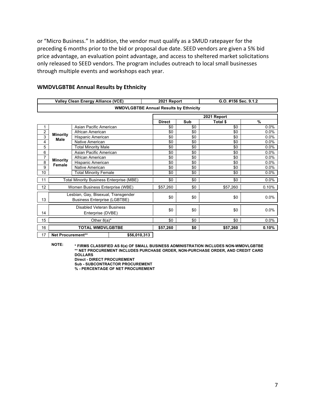or "Micro Business." In addition, the vendor must qualify as a SMUD ratepayer for the preceding 6 months prior to the bid or proposal due date. SEED vendors are given a 5% bid price advantage, an evaluation point advantage, and access to sheltered market solicitations only released to SEED vendors. The program includes outreach to local small businesses through multiple events and workshops each year.

|                |                           | <b>Valley Clean Energy Alliance (VCE)</b>                                  |                                               | 2021 Report     |     | G.O. #156 Sec. 9.1.2 |       |  |  |  |  |
|----------------|---------------------------|----------------------------------------------------------------------------|-----------------------------------------------|-----------------|-----|----------------------|-------|--|--|--|--|
|                |                           |                                                                            | <b>WMDVLGBTBE Annual Results by Ethnicity</b> |                 |     |                      |       |  |  |  |  |
|                |                           |                                                                            |                                               |                 |     | 2021 Report          |       |  |  |  |  |
|                |                           |                                                                            |                                               | <b>Direct</b>   | Sub | Total \$             | %     |  |  |  |  |
|                |                           | Asian Pacific American                                                     |                                               | \$0             | \$0 | \$0                  | 0.0%  |  |  |  |  |
| 2              | <b>Minority</b>           | African American                                                           |                                               | \$0             | \$0 | \$0                  | 0.0%  |  |  |  |  |
| $\overline{3}$ | <b>Male</b>               | Hispanic American                                                          |                                               | \$0             | \$0 | \$0                  | 0.0%  |  |  |  |  |
| 4              |                           | Native American                                                            |                                               | $\overline{50}$ | \$0 | \$0                  | 0.0%  |  |  |  |  |
| 5              |                           | <b>Total Minority Male</b>                                                 |                                               | \$0             | \$0 | \$0                  | 0.0%  |  |  |  |  |
| 6              |                           | Asian Pacific American                                                     |                                               | \$0             | \$0 | \$0                  | 0.0%  |  |  |  |  |
| 7              |                           | African American                                                           |                                               | \$0             | \$0 | \$0                  | 0.0%  |  |  |  |  |
| 8              | <b>Minority</b><br>Female | Hispanic American                                                          |                                               | \$0             | \$0 | \$0                  | 0.0%  |  |  |  |  |
| 9              |                           | Native American                                                            |                                               | \$0             | \$0 | \$0                  | 0.0%  |  |  |  |  |
| 10             |                           | <b>Total Minority Female</b>                                               |                                               | \$0             | \$0 | \$0                  | 0.0%  |  |  |  |  |
| 11             |                           | Total Minority Business Enterprise (MBE)                                   |                                               | \$0             | \$0 | \$0                  | 0.0%  |  |  |  |  |
| 12             |                           | Women Business Enterprise (WBE)                                            |                                               | \$57,260        | \$0 | \$57,260             | 0.10% |  |  |  |  |
| 13             |                           | Lesbian, Gay, Bisexual, Transgender<br><b>Business Enterprise (LGBTBE)</b> |                                               | \$0             | \$0 | \$0                  | 0.0%  |  |  |  |  |
| 14             |                           | Disabled Veteran Business<br>Enterprise (DVBE)                             |                                               | \$0             | \$0 | \$0                  | 0.0%  |  |  |  |  |
| 15             |                           | Other $8(a)^*$                                                             |                                               | \$0             | \$0 | \$0                  | 0.0%  |  |  |  |  |
| 16             |                           | <b>TOTAL WMDVLGBTBE</b>                                                    |                                               | \$57,260        | \$0 | \$57,260             | 0.10% |  |  |  |  |
| 17             | Net Procurement**         |                                                                            | \$56,010,313                                  |                 |     |                      |       |  |  |  |  |

#### **WMDVLGBTBE Annual Results by Ethnicity**

**NOTE: \* FIRMS CLASSIFIED AS 8(a) OF SMALL BUSINESS ADMINISTRATION INCLUDES NON-WMDVLGBTBE \*\* NET PROCUREMENT INCLUDES PURCHASE ORDER, NON-PURCHASE ORDER, AND CREDIT CARD DOLLARS**

**Direct - DIRECT PROCUREMENT**

**Sub - SUBCONTRACTOR PROCUREMENT**

**% - PERCENTAGE OF NET PROCUREMENT**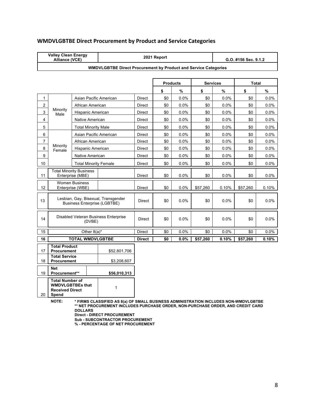|                | <b>Valley Clean Energy</b><br>2021 Report<br>Alliance (VCE)<br>G.O. #156 Sec. 9.1.2 |                                           |                                                                        |               |                 |      |             |                                 |            |         |
|----------------|-------------------------------------------------------------------------------------|-------------------------------------------|------------------------------------------------------------------------|---------------|-----------------|------|-------------|---------------------------------|------------|---------|
|                |                                                                                     |                                           | <b>WMDVLGBTBE Direct Procurement by Product and Service Categories</b> |               |                 |      |             |                                 |            |         |
|                |                                                                                     |                                           |                                                                        |               |                 |      |             |                                 |            |         |
|                |                                                                                     |                                           |                                                                        |               | <b>Products</b> |      |             | <b>Services</b><br><b>Total</b> |            |         |
|                |                                                                                     |                                           |                                                                        |               | \$              | $\%$ | \$          | $\%$                            | \$         | %       |
| 1              |                                                                                     | Asian Pacific American                    |                                                                        | <b>Direct</b> | \$0             | 0.0% | \$0         | 0.0%                            | \$0        | 0.0%    |
| 2              |                                                                                     | African American                          |                                                                        | Direct        | \$0             | 0.0% | \$0         | 0.0%                            | \$0        | 0.0%    |
| $\mathsf 3$    | Minority<br>Male                                                                    | Hispanic American                         |                                                                        | Direct        | \$0             | 0.0% | \$0         | 0.0%                            | \$0        | 0.0%    |
| 4              |                                                                                     | Native American                           |                                                                        | Direct        | \$0             | 0.0% | \$0         | $0.0\%$                         | \$0        | 0.0%    |
| 5              |                                                                                     | <b>Total Minority Male</b>                |                                                                        | Direct        | \$0             | 0.0% | \$0         | 0.0%                            | \$0        | $0.0\%$ |
| 6              |                                                                                     | Asian Pacific American                    |                                                                        | <b>Direct</b> | \$0             | 0.0% | \$0         | 0.0%                            | \$0        | 0.0%    |
| $\overline{7}$ |                                                                                     | African American                          |                                                                        | <b>Direct</b> | \$0             | 0.0% | \$0         | 0.0%                            | \$0        | 0.0%    |
| 8              | Minority<br>Female                                                                  | Hispanic American                         |                                                                        | Direct        | \$0             | 0.0% | \$0         | $0.0\%$                         | \$0        | $0.0\%$ |
| 9              |                                                                                     | Native American                           |                                                                        | Direct        | \$0             | 0.0% | \$0         | 0.0%                            | \$0        | 0.0%    |
| 10             |                                                                                     | <b>Total Minority Female</b>              |                                                                        | <b>Direct</b> | \$0             | 0.0% | \$0         | 0.0%                            | \$0        | 0.0%    |
| 11             | <b>Total Minority Business</b><br>Enterprise (MBE)                                  |                                           |                                                                        |               | \$0             | 0.0% | \$0         | 0.0%                            | \$0        | $0.0\%$ |
| 12             |                                                                                     | <b>Women Business</b><br>Enterprise (WBE) |                                                                        | <b>Direct</b> | \$0             | 0.0% | \$57,260    | 0.10%                           | \$57,260   | 0.10%   |
| 13             |                                                                                     | <b>Business Enterprise (LGBTBE)</b>       | Lesbian, Gay, Bisexual, Transgender                                    | <b>Direct</b> | \$0             | 0.0% | \$0         | 0.0%                            | \$0        | 0.0%    |
| 14             |                                                                                     | (DVBE)                                    | Disabled Veteran Business Enterprise                                   | Direct        | \$0             | 0.0% | \$0         | $0.0\%$                         | \$0        | 0.0%    |
| 15             |                                                                                     | Other $8(a)^*$                            |                                                                        | Direct        | $\sqrt{6}$      | 0.0% | $\sqrt{50}$ | 0.0%                            | $\sqrt{6}$ | $0.0\%$ |
| 16             |                                                                                     | <b>TOTAL WMDVLGBTBE</b>                   |                                                                        | <b>Direct</b> | \$0             | 0.0% | \$57,260    | 0.10%                           | \$57,260   | 0.10%   |
| 17             | <b>Total Product</b><br><b>Procurement</b>                                          |                                           | \$52,801,706                                                           |               |                 |      |             |                                 |            |         |
| 18             | <b>Total Service</b><br><b>Procurement</b>                                          |                                           | \$3,208,607                                                            |               |                 |      |             |                                 |            |         |
| 19             | <b>Net</b><br>Procurement**                                                         |                                           | \$56,010,313                                                           |               |                 |      |             |                                 |            |         |
|                | <b>Total Number of</b><br><b>WMDVLGBTBEs that</b><br>1<br><b>Received Direct</b>    |                                           |                                                                        |               |                 |      |             |                                 |            |         |

## **WMDVLGBTBE Direct Procurement by Product and Service Categories**

**Spend**

20

**NOTE: \* FIRMS CLASSIFIED AS 8(a) OF SMALL BUSINESS ADMINISTRATION INCLUDES NON-WMDVLGBTBE \*\* NET PROCUREMENT INCLUDES PURCHASE ORDER, NON-PURCHASE ORDER, AND CREDIT CARD DOLLARS**

**Direct - DIRECT PROCUREMENT**

**Sub - SUBCONTRACTOR PROCUREMENT**

**% - PERCENTAGE OF NET PROCUREMENT**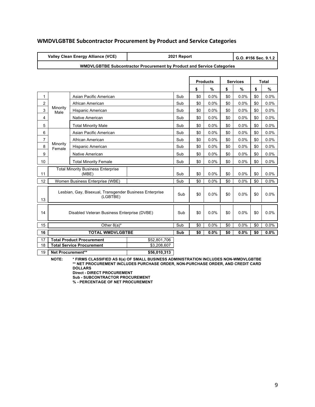## **WMDVLGBTBE Subcontractor Procurement by Product and Service Categories**

|                |                    | Valley Clean Energy Alliance (VCE)                                  |                                                                               | 2021 Report |     |                 |     | G.O. #156 Sec. 9.1.2 |              |      |  |
|----------------|--------------------|---------------------------------------------------------------------|-------------------------------------------------------------------------------|-------------|-----|-----------------|-----|----------------------|--------------|------|--|
|                |                    |                                                                     | <b>WMDVLGBTBE Subcontractor Procurement by Product and Service Categories</b> |             |     |                 |     |                      |              |      |  |
|                |                    |                                                                     |                                                                               |             |     |                 |     |                      |              |      |  |
|                |                    |                                                                     |                                                                               |             |     | <b>Products</b> |     | <b>Services</b>      | <b>Total</b> |      |  |
|                |                    |                                                                     |                                                                               |             | \$  | $\%$            | \$  | %                    | \$           | $\%$ |  |
| 1              |                    | Asian Pacific American                                              |                                                                               | Sub         | \$0 | 0.0%            | \$0 | 0.0%                 | \$0          | 0.0% |  |
| $\overline{2}$ |                    | African American                                                    |                                                                               | Sub         | \$0 | 0.0%            | \$0 | 0.0%                 | \$0          | 0.0% |  |
| 3              | Minority<br>Male   | Hispanic American                                                   |                                                                               | Sub         | \$0 | 0.0%            | \$0 | 0.0%                 | \$0          | 0.0% |  |
| 4              |                    | Native American                                                     |                                                                               | Sub         | \$0 | 0.0%            | \$0 | 0.0%                 | \$0          | 0.0% |  |
| 5              |                    | <b>Total Minority Male</b>                                          |                                                                               | Sub         | \$0 | 0.0%            | \$0 | 0.0%                 | \$0          | 0.0% |  |
| 6              |                    | Asian Pacific American                                              |                                                                               | Sub         | \$0 | 0.0%            | \$0 | 0.0%                 | \$0          | 0.0% |  |
| $\overline{7}$ |                    | African American                                                    |                                                                               | Sub         | \$0 | 0.0%            | \$0 | $0.0\%$              | \$0          | 0.0% |  |
| 8              | Minority<br>Female | Hispanic American                                                   |                                                                               | Sub         | \$0 | 0.0%            | \$0 | 0.0%                 | \$0          | 0.0% |  |
| 9              |                    | Native American                                                     |                                                                               | Sub         | \$0 | 0.0%            | \$0 | 0.0%                 | \$0          | 0.0% |  |
| 10             |                    | <b>Total Minority Female</b>                                        |                                                                               | Sub         | \$0 | 0.0%            | \$0 | 0.0%                 | \$0          | 0.0% |  |
| 11             |                    | <b>Total Minority Business Enterprise</b><br>(MBE)                  |                                                                               | Sub         | \$0 | 0.0%            | \$0 | 0.0%                 | \$0          | 0.0% |  |
| 12             |                    | Women Business Enterprise (WBE)                                     |                                                                               | Sub         | \$0 | 0.0%            | \$0 | 0.0%                 | \$0          | 0.0% |  |
| 13             |                    | Lesbian, Gay, Bisexual, Transgender Business Enterprise<br>(LGBTBE) |                                                                               | Sub         | \$0 | 0.0%            | \$0 | 0.0%                 | \$0          | 0.0% |  |
| 14             |                    | Disabled Veteran Business Enterprise (DVBE)                         |                                                                               | Sub         | \$0 | 0.0%            | \$0 | 0.0%                 | \$0          | 0.0% |  |
| 15             |                    | Other $8(a)^*$                                                      |                                                                               | Sub         | \$0 | 0.0%            | \$0 | 0.0%                 | \$0          | 0.0% |  |
| 16             |                    | <b>TOTAL WMDVLGBTBE</b>                                             |                                                                               | Sub         | \$0 | 0.0%            | \$0 | 0.0%                 | \$0          | 0.0% |  |
| 17             |                    | <b>Total Product Procurement</b>                                    | \$52,801,706                                                                  |             |     |                 |     |                      |              |      |  |
| 18             |                    | <b>Total Service Procurement</b>                                    | \$3,208,607                                                                   |             |     |                 |     |                      |              |      |  |
| 19             | Net Procurement**  |                                                                     | \$56,010,313                                                                  |             |     |                 |     |                      |              |      |  |

**NOTE: \* FIRMS CLASSIFIED AS 8(a) OF SMALL BUSINESS ADMINISTRATION INCLUDES NON-WMDVLGBTBE \*\* NET PROCUREMENT INCLUDES PURCHASE ORDER, NON-PURCHASE ORDER, AND CREDIT CARD DOLLARS**

**Direct - DIRECT PROCUREMENT Sub - SUBCONTRACTOR PROCUREMENT**

**% - PERCENTAGE OF NET PROCUREMENT**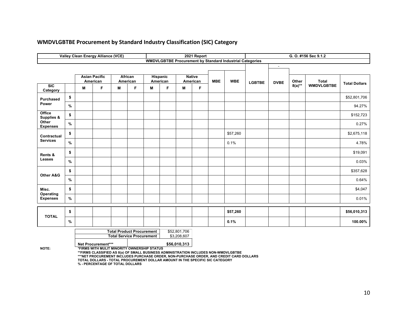|                                 |               |                                                                                                       | Valley Clean Energy Alliance (VCE) |                                  |                     |   |                                                                                                                                                                                |                                         | 2021 Report |            |                                                                 |               |             |              | G. O. #156 Sec 9.1.2 |                      |
|---------------------------------|---------------|-------------------------------------------------------------------------------------------------------|------------------------------------|----------------------------------|---------------------|---|--------------------------------------------------------------------------------------------------------------------------------------------------------------------------------|-----------------------------------------|-------------|------------|-----------------------------------------------------------------|---------------|-------------|--------------|----------------------|----------------------|
|                                 |               |                                                                                                       |                                    |                                  |                     |   |                                                                                                                                                                                |                                         |             |            | <b>WMDVLGBTBE Procurement by Standard Industrial Categories</b> |               |             |              |                      |                      |
|                                 |               |                                                                                                       |                                    |                                  |                     |   |                                                                                                                                                                                |                                         |             |            |                                                                 |               | $\sim$      |              |                      |                      |
|                                 |               |                                                                                                       | <b>Asian Pacific</b><br>American   |                                  | African<br>American |   | Hispanic<br>American                                                                                                                                                           | <b>Native</b><br>American<br><b>MBE</b> |             | <b>WBE</b> |                                                                 |               | Other       | <b>Total</b> |                      |                      |
| SIC<br>Category                 |               | M                                                                                                     | F                                  | M                                | F.                  | M | F                                                                                                                                                                              | M                                       | F           |            |                                                                 | <b>LGBTBE</b> | <b>DVBE</b> | $8(a)**$     | <b>WMDVLGBTBE</b>    | <b>Total Dollars</b> |
| <b>Purchased</b>                | \$            |                                                                                                       |                                    |                                  |                     |   |                                                                                                                                                                                |                                         |             |            |                                                                 |               |             |              |                      | \$52,801,706         |
| Power                           | $\%$          |                                                                                                       |                                    |                                  |                     |   |                                                                                                                                                                                |                                         |             |            |                                                                 |               |             |              |                      | 94.27%               |
| Office<br><b>Supplies &amp;</b> | \$            |                                                                                                       |                                    |                                  |                     |   |                                                                                                                                                                                |                                         |             |            |                                                                 |               |             |              |                      | \$152,723            |
| Other<br><b>Expenses</b>        | $\frac{9}{6}$ |                                                                                                       |                                    |                                  |                     |   |                                                                                                                                                                                |                                         |             |            |                                                                 |               |             |              |                      | 0.27%                |
| Contractual                     | \$            |                                                                                                       |                                    |                                  |                     |   |                                                                                                                                                                                |                                         |             |            | \$57,260                                                        |               |             |              |                      | \$2,675,118          |
| <b>Services</b>                 | $\frac{9}{6}$ |                                                                                                       |                                    |                                  |                     |   |                                                                                                                                                                                |                                         |             |            | 0.1%                                                            |               |             |              |                      | 4.78%                |
| Rents &                         | \$            |                                                                                                       |                                    |                                  |                     |   |                                                                                                                                                                                |                                         |             |            |                                                                 |               |             |              |                      | \$19,091             |
| Leases                          | $\%$          |                                                                                                       |                                    |                                  |                     |   |                                                                                                                                                                                |                                         |             |            |                                                                 |               |             |              |                      | 0.03%                |
| <b>Other A&amp;G</b>            | \$            |                                                                                                       |                                    |                                  |                     |   |                                                                                                                                                                                |                                         |             |            |                                                                 |               |             |              |                      | \$357,628            |
|                                 | $\%$          |                                                                                                       |                                    |                                  |                     |   |                                                                                                                                                                                |                                         |             |            |                                                                 |               |             |              |                      | 0.64%                |
| Misc.<br>Operating              | \$            |                                                                                                       |                                    |                                  |                     |   |                                                                                                                                                                                |                                         |             |            |                                                                 |               |             |              |                      | \$4,047              |
| <b>Expenses</b>                 | $\%$          |                                                                                                       |                                    |                                  |                     |   |                                                                                                                                                                                |                                         |             |            |                                                                 |               |             |              |                      | 0.01%                |
|                                 | \$            |                                                                                                       |                                    |                                  |                     |   |                                                                                                                                                                                |                                         |             |            | \$57,260                                                        |               |             |              |                      | \$56,010,313         |
| <b>TOTAL</b>                    | %             |                                                                                                       |                                    |                                  |                     |   |                                                                                                                                                                                |                                         |             |            | 0.1%                                                            |               |             |              |                      | 100.00%              |
|                                 |               |                                                                                                       |                                    | <b>Total Product Procurement</b> |                     |   | \$52,801,706                                                                                                                                                                   |                                         |             |            |                                                                 |               |             |              |                      |                      |
| NOTE:                           |               | <b>Total Service Procurement</b><br>Net Procurement***<br>*FIRMS WITH MULIT MINORITY OWNERSHIP STATUS |                                    |                                  |                     |   | \$3,208,607<br>\$56,010,313                                                                                                                                                    |                                         |             |            |                                                                 |               |             |              |                      |                      |
|                                 |               |                                                                                                       |                                    |                                  |                     |   | **FIRMS CLASSIFIED AS 8(a) OF SMALL BUSINESS ADMINISTRATION INCLUDES NON-WMDVLGBTBE<br>***NET PROCUREMENT INCLUDES PURCHASE ORDER, NON-PURCHASE ORDER, AND CREDIT CARD DOLLARS |                                         |             |            |                                                                 |               |             |              |                      |                      |

# **WMDVLGBTBE Procurement by Standard Industry Classification (SIC) Category**

\*\*\*NET PROCUREMENT INCLUDES PURCHASE ORDER, NON-PURCHASE ORDER, AND CREDIT CARD DOLLARS<br>TOTAL DOLLARS - TOTAL PROCUREMENT DOLLAR AMOUNT IN THE SPECIFIC SIC CATEGORY<br>% - PERCENTAGE OF TOTAL DOLLARS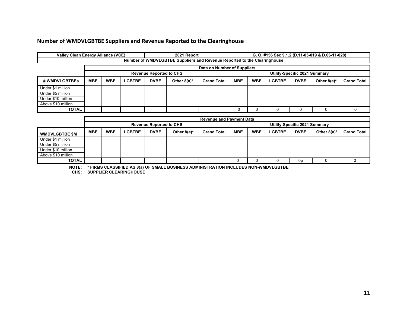## **Number of WMDVLGBTBE Suppliers and Revenue Reported to the Clearinghouse**

| <b>Valley Clean Energy Alliance (VCE)</b> |                                                                 |                             |               |             | 2021 Report                                                              | G. O. #156 Sec 9.1.2 (D.11-05-019 & D.06-11-028) |     |            |               |             |                |                    |  |  |
|-------------------------------------------|-----------------------------------------------------------------|-----------------------------|---------------|-------------|--------------------------------------------------------------------------|--------------------------------------------------|-----|------------|---------------|-------------|----------------|--------------------|--|--|
|                                           |                                                                 |                             |               |             | Number of WMDVLGBTBE Suppliers and Revenue Reported to the Clearinghouse |                                                  |     |            |               |             |                |                    |  |  |
|                                           |                                                                 | Data on Number of Suppliers |               |             |                                                                          |                                                  |     |            |               |             |                |                    |  |  |
|                                           | <b>Revenue Reported to CHS</b><br>Utility-Specific 2021 Summary |                             |               |             |                                                                          |                                                  |     |            |               |             |                |                    |  |  |
| # WMDVLGBTBEs                             | <b>MBE</b>                                                      | <b>WBE</b>                  | <b>LGBTBE</b> | <b>DVBE</b> | Other $8(a)^*$                                                           | <b>Grand Total</b>                               | MBE | <b>WBE</b> | <b>LGBTBE</b> | <b>DVBE</b> | Other $8(a)^*$ | <b>Grand Total</b> |  |  |
| Under \$1 million                         |                                                                 |                             |               |             |                                                                          |                                                  |     |            |               |             |                |                    |  |  |
| Under \$5 million                         |                                                                 |                             |               |             |                                                                          |                                                  |     |            |               |             |                |                    |  |  |
| Under \$10 million                        |                                                                 |                             |               |             |                                                                          |                                                  |     |            |               |             |                |                    |  |  |
| Above \$10 million                        |                                                                 |                             |               |             |                                                                          |                                                  |     |            |               |             |                |                    |  |  |
| <b>TOTAL</b>                              |                                                                 |                             |               |             |                                                                          |                                                  |     |            | 0             |             |                |                    |  |  |
|                                           |                                                                 |                             |               |             |                                                                          |                                                  |     |            |               |             |                |                    |  |  |
|                                           |                                                                 |                             |               |             |                                                                          | <b>Revenue and Payment Data</b>                  |     |            |               |             |                |                    |  |  |

|                       |            | Revenue and Payment Data |        |                                |                |                    |                               |            |               |             |                |                    |  |
|-----------------------|------------|--------------------------|--------|--------------------------------|----------------|--------------------|-------------------------------|------------|---------------|-------------|----------------|--------------------|--|
|                       |            |                          |        | <b>Revenue Reported to CHS</b> |                |                    | Utility-Specific 2021 Summary |            |               |             |                |                    |  |
| <b>WMDVLGBTBE \$M</b> | <b>MBE</b> | <b>WBE</b>               | LGBTBE | <b>DVBE</b>                    | Other $8(a)^*$ | <b>Grand Total</b> | <b>MBE</b>                    | <b>WBE</b> | <b>LGBTBE</b> | <b>DVBE</b> | Other $8(a)^*$ | <b>Grand Total</b> |  |
| Under \$1 million     |            |                          |        |                                |                |                    |                               |            |               |             |                |                    |  |
| Under \$5 million     |            |                          |        |                                |                |                    |                               |            |               |             |                |                    |  |
| Under \$10 million    |            |                          |        |                                |                |                    |                               |            |               |             |                |                    |  |
| Above \$10 million    |            |                          |        |                                |                |                    |                               |            |               |             |                |                    |  |
| <b>TOTAL</b>          |            |                          |        |                                |                |                    |                               |            |               | 0p          |                |                    |  |

**NOTE: \* FIRMS CLASSIFIED AS 8(a) OF SMALL BUSINESS ADMINISTRATION INCLUDES NON-WMDVLGBTBE**

**CHS: SUPPLIER CLEARINGHOUSE**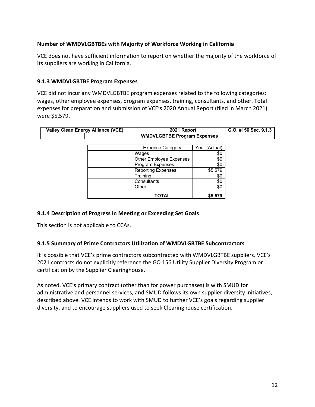## **Number of WMDVLGBTBEs with Majority of Workforce Working in California**

VCE does not have sufficient information to report on whether the majority of the workforce of its suppliers are working in California.

#### **9.1.3 WMDVLGBTBE Program Expenses**

VCE did not incur any WMDVLGBTBE program expenses related to the following categories: wages, other employee expenses, program expenses, training, consultants, and other. Total expenses for preparation and submission of VCE's 2020 Annual Report (filed in March 2021) were \$5,579.

| <b>Valley Clean Energy Alliance (VCE)</b> | 2021 Report                        | G.O. #156 Sec. 9.1.3 |  |  |  |  |  |  |
|-------------------------------------------|------------------------------------|----------------------|--|--|--|--|--|--|
|                                           | <b>WMDVLGBTBE Program Expenses</b> |                      |  |  |  |  |  |  |
|                                           |                                    |                      |  |  |  |  |  |  |
|                                           | <b>Expense Category</b>            | Year (Actual)        |  |  |  |  |  |  |
|                                           | Wages                              | \$0                  |  |  |  |  |  |  |
|                                           | Other Employee Expenses            | \$0                  |  |  |  |  |  |  |
|                                           | Program Expenses                   | \$0                  |  |  |  |  |  |  |
|                                           | <b>Reporting Expenses</b>          | \$5,579              |  |  |  |  |  |  |
|                                           | Training                           | \$0                  |  |  |  |  |  |  |
|                                           | Consultants                        | \$0                  |  |  |  |  |  |  |
|                                           | Other                              | \$0                  |  |  |  |  |  |  |
|                                           | <b>TOTAL</b>                       | \$5,579              |  |  |  |  |  |  |

### **9.1.4 Description of Progress in Meeting or Exceeding Set Goals**

This section is not applicable to CCAs.

#### **9.1.5 Summary of Prime Contractors Utilization of WMDVLGBTBE Subcontractors**

It is possible that VCE's prime contractors subcontracted with WMDVLGBTBE suppliers. VCE's 2021 contracts do not explicitly reference the GO 156 Utility Supplier Diversity Program or certification by the Supplier Clearinghouse.

As noted, VCE's primary contract (other than for power purchases) is with SMUD for administrative and personnel services, and SMUD follows its own supplier diversity initiatives, described above. VCE intends to work with SMUD to further VCE's goals regarding supplier diversity, and to encourage suppliers used to seek Clearinghouse certification.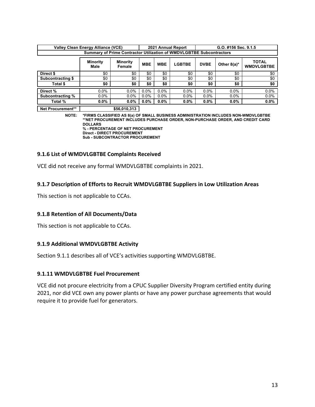|                          | <b>Valley Clean Energy Alliance (VCE)</b>                                   |                           |            |            | 2021 Annual Report | G.O. #156 Sec. 9.1.5 |                |                                   |  |  |
|--------------------------|-----------------------------------------------------------------------------|---------------------------|------------|------------|--------------------|----------------------|----------------|-----------------------------------|--|--|
|                          | <b>Summary of Prime Contractor Utilization of WMDVLGBTBE Subcontractors</b> |                           |            |            |                    |                      |                |                                   |  |  |
|                          | <b>Minority</b><br>Male                                                     | <b>Minority</b><br>Female | <b>MBE</b> | <b>WBE</b> | <b>LGBTBE</b>      | <b>DVBE</b>          | Other $8(a)^*$ | <b>TOTAL</b><br><b>WMDVLGBTBE</b> |  |  |
| Direct \$                | \$0                                                                         | \$0                       | \$0        | \$0        | \$0                | \$0                  | \$0            | \$0                               |  |  |
| <b>Subcontracting \$</b> | \$0                                                                         | \$0                       | \$0        | \$0        | \$0                | \$0                  | \$0            | \$0                               |  |  |
| Total \$                 | \$0                                                                         | \$0                       | \$0        | \$0        | \$0                | \$0                  | \$0            | \$0                               |  |  |
| Direct %                 | 0.0%                                                                        | $0.0\%$                   | $0.0\%$    | $0.0\%$    | 0.0%               | $0.0\%$              | $0.0\%$        | 0.0%                              |  |  |
| Subcontracting %         | $0.0\%$                                                                     | $0.0\%$                   | $0.0\%$    | $0.0\%$    | $0.0\%$            | $0.0\%$              | $0.0\%$        | $0.0\%$                           |  |  |
| Total %                  | $0.0\%$                                                                     | $0.0\%$                   | $0.0\%$    | $0.0\%$    | $0.0\%$            | $0.0\%$              | $0.0\%$        | $0.0\%$                           |  |  |

**Net Procurement\*\* 656,010,313** 

**NOTE: \*FIRMS CLASSIFIED AS 8(a) OF SMALL BUSINESS ADMINISTRATION INCLUDES NON-WMDVLGBTBE \*\*NET PROCUREMENT INCLUDES PURCHASE ORDER, NON-PURCHASE ORDER, AND CREDIT CARD DOLLARS % - PERCENTAGE OF NET PROCUREMENT Direct - DIRECT PROCUREMENT**

**Sub - SUBCONTRACTOR PROCUREMENT**

#### **9.1.6 List of WMDVLGBTBE Complaints Received**

VCE did not receive any formal WMDVLGBTBE complaints in 2021.

#### **9.1.7 Description of Efforts to Recruit WMDVLGBTBE Suppliers in Low Utilization Areas**

This section is not applicable to CCAs.

#### **9.1.8 Retention of All Documents/Data**

This section is not applicable to CCAs.

#### **9.1.9 Additional WMDVLGBTBE Activity**

Section 9.1.1 describes all of VCE's activities supporting WMDVLGBTBE.

#### **9.1.11 WMDVLGBTBE Fuel Procurement**

VCE did not procure electricity from a CPUC Supplier Diversity Program certified entity during 2021, nor did VCE own any power plants or have any power purchase agreements that would require it to provide fuel for generators.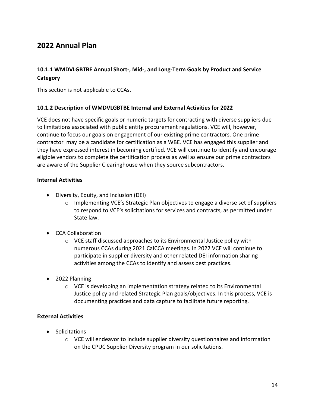# **2022 Annual Plan**

## **10.1.1 WMDVLGBTBE Annual Short-, Mid-, and Long-Term Goals by Product and Service Category**

This section is not applicable to CCAs.

#### **10.1.2 Description of WMDVLGBTBE Internal and External Activities for 2022**

VCE does not have specific goals or numeric targets for contracting with diverse suppliers due to limitations associated with public entity procurement regulations. VCE will, however, continue to focus our goals on engagement of our existing prime contractors. One prime contractor may be a candidate for certification as a WBE. VCE has engaged this supplier and they have expressed interest in becoming certified. VCE will continue to identify and encourage eligible vendors to complete the certification process as well as ensure our prime contractors are aware of the Supplier Clearinghouse when they source subcontractors.

#### **Internal Activities**

- Diversity, Equity, and Inclusion (DEI)
	- $\circ$  Implementing VCE's Strategic Plan objectives to engage a diverse set of suppliers to respond to VCE's solicitations for services and contracts, as permitted under State law.
- CCA Collaboration
	- o VCE staff discussed approaches to its Environmental Justice policy with numerous CCAs during 2021 CalCCA meetings. In 2022 VCE will continue to participate in supplier diversity and other related DEI information sharing activities among the CCAs to identify and assess best practices.
- 2022 Planning
	- $\circ$  VCE is developing an implementation strategy related to its Environmental Justice policy and related Strategic Plan goals/objectives. In this process, VCE is documenting practices and data capture to facilitate future reporting.

#### **External Activities**

- Solicitations
	- $\circ$  VCE will endeavor to include supplier diversity questionnaires and information on the CPUC Supplier Diversity program in our solicitations.